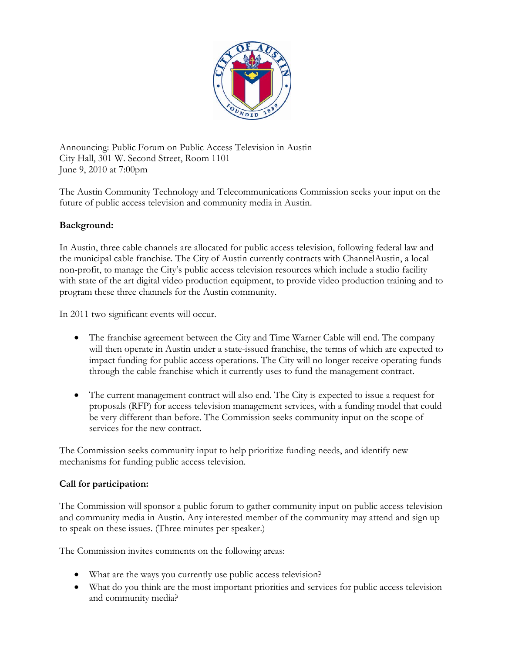

Announcing: Public Forum on Public Access Television in Austin City Hall, 301 W. Second Street, Room 1101 June 9, 2010 at 7:00pm

The Austin Community Technology and Telecommunications Commission seeks your input on the future of public access television and community media in Austin.

## **Background:**

In Austin, three cable channels are allocated for public access television, following federal law and the municipal cable franchise. The City of Austin currently contracts with ChannelAustin, a local non-profit, to manage the City's public access television resources which include a studio facility with state of the art digital video production equipment, to provide video production training and to program these three channels for the Austin community.

In 2011 two significant events will occur.

- The franchise agreement between the City and Time Warner Cable will end. The company will then operate in Austin under a state-issued franchise, the terms of which are expected to impact funding for public access operations. The City will no longer receive operating funds through the cable franchise which it currently uses to fund the management contract.
- The current management contract will also end. The City is expected to issue a request for proposals (RFP) for access television management services, with a funding model that could be very different than before. The Commission seeks community input on the scope of services for the new contract.

The Commission seeks community input to help prioritize funding needs, and identify new mechanisms for funding public access television.

## **Call for participation:**

The Commission will sponsor a public forum to gather community input on public access television and community media in Austin. Any interested member of the community may attend and sign up to speak on these issues. (Three minutes per speaker.)

The Commission invites comments on the following areas:

- What are the ways you currently use public access television?
- What do you think are the most important priorities and services for public access television and community media?